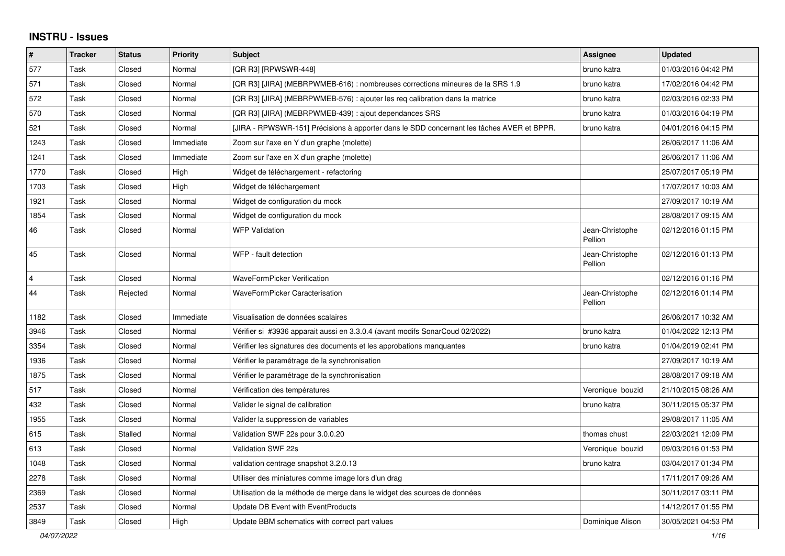## **INSTRU - Issues**

| $\#$           | <b>Tracker</b> | <b>Status</b> | <b>Priority</b> | <b>Subject</b>                                                                            | Assignee                   | <b>Updated</b>      |
|----------------|----------------|---------------|-----------------|-------------------------------------------------------------------------------------------|----------------------------|---------------------|
| 577            | Task           | Closed        | Normal          | [QR R3] [RPWSWR-448]                                                                      | bruno katra                | 01/03/2016 04:42 PM |
| 571            | Task           | Closed        | Normal          | [QR R3] [JIRA] (MEBRPWMEB-616) : nombreuses corrections mineures de la SRS 1.9            | bruno katra                | 17/02/2016 04:42 PM |
| 572            | Task           | Closed        | Normal          | [QR R3] [JIRA] (MEBRPWMEB-576) : ajouter les reg calibration dans la matrice              | bruno katra                | 02/03/2016 02:33 PM |
| 570            | Task           | Closed        | Normal          | [QR R3] [JIRA] (MEBRPWMEB-439) : ajout dependances SRS                                    | bruno katra                | 01/03/2016 04:19 PM |
| 521            | Task           | Closed        | Normal          | [JIRA - RPWSWR-151] Précisions à apporter dans le SDD concernant les tâches AVER et BPPR. | bruno katra                | 04/01/2016 04:15 PM |
| 1243           | Task           | Closed        | Immediate       | Zoom sur l'axe en Y d'un graphe (molette)                                                 |                            | 26/06/2017 11:06 AM |
| 1241           | Task           | Closed        | Immediate       | Zoom sur l'axe en X d'un graphe (molette)                                                 |                            | 26/06/2017 11:06 AM |
| 1770           | Task           | Closed        | High            | Widget de téléchargement - refactoring                                                    |                            | 25/07/2017 05:19 PM |
| 1703           | Task           | Closed        | High            | Widget de téléchargement                                                                  |                            | 17/07/2017 10:03 AM |
| 1921           | Task           | Closed        | Normal          | Widget de configuration du mock                                                           |                            | 27/09/2017 10:19 AM |
| 1854           | Task           | Closed        | Normal          | Widget de configuration du mock                                                           |                            | 28/08/2017 09:15 AM |
| 46             | Task           | Closed        | Normal          | <b>WFP Validation</b>                                                                     | Jean-Christophe<br>Pellion | 02/12/2016 01:15 PM |
| 45             | Task           | Closed        | Normal          | WFP - fault detection                                                                     | Jean-Christophe<br>Pellion | 02/12/2016 01:13 PM |
| $\overline{4}$ | Task           | Closed        | Normal          | WaveFormPicker Verification                                                               |                            | 02/12/2016 01:16 PM |
| 44             | Task           | Rejected      | Normal          | WaveFormPicker Caracterisation                                                            | Jean-Christophe<br>Pellion | 02/12/2016 01:14 PM |
| 1182           | Task           | Closed        | Immediate       | Visualisation de données scalaires                                                        |                            | 26/06/2017 10:32 AM |
| 3946           | Task           | Closed        | Normal          | Vérifier si #3936 apparait aussi en 3.3.0.4 (avant modifs SonarCoud 02/2022)              | bruno katra                | 01/04/2022 12:13 PM |
| 3354           | Task           | Closed        | Normal          | Vérifier les signatures des documents et les approbations manquantes                      | bruno katra                | 01/04/2019 02:41 PM |
| 1936           | Task           | Closed        | Normal          | Vérifier le paramétrage de la synchronisation                                             |                            | 27/09/2017 10:19 AM |
| 1875           | Task           | Closed        | Normal          | Vérifier le paramétrage de la synchronisation                                             |                            | 28/08/2017 09:18 AM |
| 517            | Task           | Closed        | Normal          | Vérification des températures                                                             | Veronique bouzid           | 21/10/2015 08:26 AM |
| 432            | Task           | Closed        | Normal          | Valider le signal de calibration                                                          | bruno katra                | 30/11/2015 05:37 PM |
| 1955           | Task           | Closed        | Normal          | Valider la suppression de variables                                                       |                            | 29/08/2017 11:05 AM |
| 615            | Task           | Stalled       | Normal          | Validation SWF 22s pour 3.0.0.20                                                          | thomas chust               | 22/03/2021 12:09 PM |
| 613            | Task           | Closed        | Normal          | Validation SWF 22s                                                                        | Veronique bouzid           | 09/03/2016 01:53 PM |
| 1048           | Task           | Closed        | Normal          | validation centrage snapshot 3.2.0.13                                                     | bruno katra                | 03/04/2017 01:34 PM |
| 2278           | Task           | Closed        | Normal          | Utiliser des miniatures comme image lors d'un drag                                        |                            | 17/11/2017 09:26 AM |
| 2369           | Task           | Closed        | Normal          | Utilisation de la méthode de merge dans le widget des sources de données                  |                            | 30/11/2017 03:11 PM |
| 2537           | Task           | Closed        | Normal          | Update DB Event with EventProducts                                                        |                            | 14/12/2017 01:55 PM |
| 3849           | Task           | Closed        | High            | Update BBM schematics with correct part values                                            | Dominique Alison           | 30/05/2021 04:53 PM |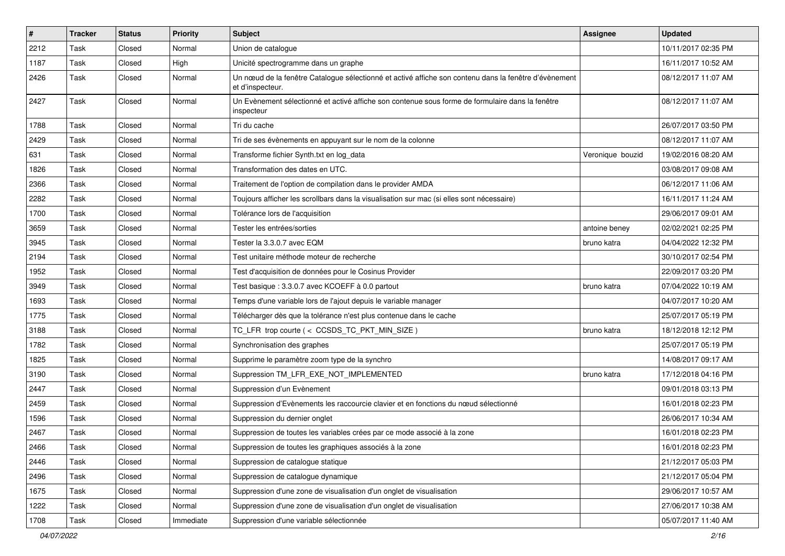| $\sharp$ | <b>Tracker</b> | <b>Status</b> | <b>Priority</b> | Subject                                                                                                                   | Assignee         | <b>Updated</b>      |
|----------|----------------|---------------|-----------------|---------------------------------------------------------------------------------------------------------------------------|------------------|---------------------|
| 2212     | Task           | Closed        | Normal          | Union de catalogue                                                                                                        |                  | 10/11/2017 02:35 PM |
| 1187     | Task           | Closed        | High            | Unicité spectrogramme dans un graphe                                                                                      |                  | 16/11/2017 10:52 AM |
| 2426     | Task           | Closed        | Normal          | Un nœud de la fenêtre Catalogue sélectionné et activé affiche son contenu dans la fenêtre d'évènement<br>et d'inspecteur. |                  | 08/12/2017 11:07 AM |
| 2427     | Task           | Closed        | Normal          | Un Evènement sélectionné et activé affiche son contenue sous forme de formulaire dans la fenêtre<br>inspecteur            |                  | 08/12/2017 11:07 AM |
| 1788     | Task           | Closed        | Normal          | Tri du cache                                                                                                              |                  | 26/07/2017 03:50 PM |
| 2429     | Task           | Closed        | Normal          | Tri de ses évènements en appuyant sur le nom de la colonne                                                                |                  | 08/12/2017 11:07 AM |
| 631      | Task           | Closed        | Normal          | Transforme fichier Synth.txt en log_data                                                                                  | Veronique bouzid | 19/02/2016 08:20 AM |
| 1826     | Task           | Closed        | Normal          | Transformation des dates en UTC.                                                                                          |                  | 03/08/2017 09:08 AM |
| 2366     | Task           | Closed        | Normal          | Traitement de l'option de compilation dans le provider AMDA                                                               |                  | 06/12/2017 11:06 AM |
| 2282     | Task           | Closed        | Normal          | Toujours afficher les scrollbars dans la visualisation sur mac (si elles sont nécessaire)                                 |                  | 16/11/2017 11:24 AM |
| 1700     | Task           | Closed        | Normal          | Tolérance lors de l'acquisition                                                                                           |                  | 29/06/2017 09:01 AM |
| 3659     | Task           | Closed        | Normal          | Tester les entrées/sorties                                                                                                | antoine beney    | 02/02/2021 02:25 PM |
| 3945     | Task           | Closed        | Normal          | Tester la 3.3.0.7 avec EQM                                                                                                | bruno katra      | 04/04/2022 12:32 PM |
| 2194     | Task           | Closed        | Normal          | Test unitaire méthode moteur de recherche                                                                                 |                  | 30/10/2017 02:54 PM |
| 1952     | Task           | Closed        | Normal          | Test d'acquisition de données pour le Cosinus Provider                                                                    |                  | 22/09/2017 03:20 PM |
| 3949     | Task           | Closed        | Normal          | Test basique : 3.3.0.7 avec KCOEFF à 0.0 partout                                                                          | bruno katra      | 07/04/2022 10:19 AM |
| 1693     | Task           | Closed        | Normal          | Temps d'une variable lors de l'ajout depuis le variable manager                                                           |                  | 04/07/2017 10:20 AM |
| 1775     | Task           | Closed        | Normal          | Télécharger dès que la tolérance n'est plus contenue dans le cache                                                        |                  | 25/07/2017 05:19 PM |
| 3188     | Task           | Closed        | Normal          | TC_LFR trop courte (< CCSDS_TC_PKT_MIN_SIZE)                                                                              | bruno katra      | 18/12/2018 12:12 PM |
| 1782     | Task           | Closed        | Normal          | Synchronisation des graphes                                                                                               |                  | 25/07/2017 05:19 PM |
| 1825     | Task           | Closed        | Normal          | Supprime le paramètre zoom type de la synchro                                                                             |                  | 14/08/2017 09:17 AM |
| 3190     | Task           | Closed        | Normal          | Suppression TM_LFR_EXE_NOT_IMPLEMENTED                                                                                    | bruno katra      | 17/12/2018 04:16 PM |
| 2447     | Task           | Closed        | Normal          | Suppression d'un Evènement                                                                                                |                  | 09/01/2018 03:13 PM |
| 2459     | Task           | Closed        | Normal          | Suppression d'Evènements les raccourcie clavier et en fonctions du nœud sélectionné                                       |                  | 16/01/2018 02:23 PM |
| 1596     | Task           | Closed        | Normal          | Suppression du dernier onglet                                                                                             |                  | 26/06/2017 10:34 AM |
| 2467     | Task           | Closed        | Normal          | Suppression de toutes les variables crées par ce mode associé à la zone                                                   |                  | 16/01/2018 02:23 PM |
| 2466     | Task           | Closed        | Normal          | Suppression de toutes les graphiques associés à la zone                                                                   |                  | 16/01/2018 02:23 PM |
| 2446     | Task           | Closed        | Normal          | Suppression de catalogue statique                                                                                         |                  | 21/12/2017 05:03 PM |
| 2496     | Task           | Closed        | Normal          | Suppression de catalogue dynamique                                                                                        |                  | 21/12/2017 05:04 PM |
| 1675     | Task           | Closed        | Normal          | Suppression d'une zone de visualisation d'un onglet de visualisation                                                      |                  | 29/06/2017 10:57 AM |
| 1222     | Task           | Closed        | Normal          | Suppression d'une zone de visualisation d'un onglet de visualisation                                                      |                  | 27/06/2017 10:38 AM |
| 1708     | Task           | Closed        | Immediate       | Suppression d'une variable sélectionnée                                                                                   |                  | 05/07/2017 11:40 AM |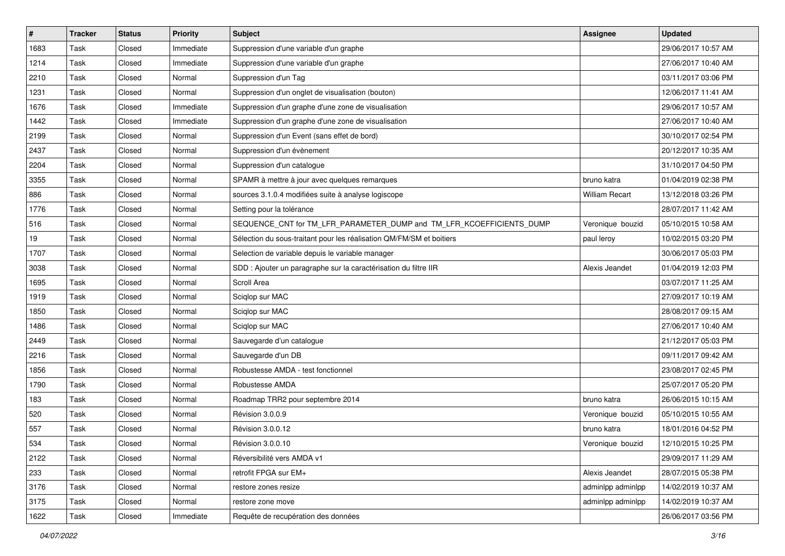| $\sharp$ | <b>Tracker</b> | <b>Status</b> | <b>Priority</b> | Subject                                                              | <b>Assignee</b>   | <b>Updated</b>      |
|----------|----------------|---------------|-----------------|----------------------------------------------------------------------|-------------------|---------------------|
| 1683     | Task           | Closed        | Immediate       | Suppression d'une variable d'un graphe                               |                   | 29/06/2017 10:57 AM |
| 1214     | Task           | Closed        | Immediate       | Suppression d'une variable d'un graphe                               |                   | 27/06/2017 10:40 AM |
| 2210     | Task           | Closed        | Normal          | Suppression d'un Tag                                                 |                   | 03/11/2017 03:06 PM |
| 1231     | Task           | Closed        | Normal          | Suppression d'un onglet de visualisation (bouton)                    |                   | 12/06/2017 11:41 AM |
| 1676     | Task           | Closed        | Immediate       | Suppression d'un graphe d'une zone de visualisation                  |                   | 29/06/2017 10:57 AM |
| 1442     | Task           | Closed        | Immediate       | Suppression d'un graphe d'une zone de visualisation                  |                   | 27/06/2017 10:40 AM |
| 2199     | Task           | Closed        | Normal          | Suppression d'un Event (sans effet de bord)                          |                   | 30/10/2017 02:54 PM |
| 2437     | Task           | Closed        | Normal          | Suppression d'un évènement                                           |                   | 20/12/2017 10:35 AM |
| 2204     | Task           | Closed        | Normal          | Suppression d'un catalogue                                           |                   | 31/10/2017 04:50 PM |
| 3355     | Task           | Closed        | Normal          | SPAMR à mettre à jour avec quelques remarques                        | bruno katra       | 01/04/2019 02:38 PM |
| 886      | Task           | Closed        | Normal          | sources 3.1.0.4 modifiées suite à analyse logiscope                  | William Recart    | 13/12/2018 03:26 PM |
| 1776     | Task           | Closed        | Normal          | Setting pour la tolérance                                            |                   | 28/07/2017 11:42 AM |
| 516      | Task           | Closed        | Normal          | SEQUENCE CNT for TM LFR PARAMETER DUMP and TM LFR KCOEFFICIENTS DUMP | Veronique bouzid  | 05/10/2015 10:58 AM |
| 19       | Task           | Closed        | Normal          | Sélection du sous-traitant pour les réalisation QM/FM/SM et boitiers | paul leroy        | 10/02/2015 03:20 PM |
| 1707     | Task           | Closed        | Normal          | Selection de variable depuis le variable manager                     |                   | 30/06/2017 05:03 PM |
| 3038     | Task           | Closed        | Normal          | SDD : Ajouter un paragraphe sur la caractérisation du filtre IIR     | Alexis Jeandet    | 01/04/2019 12:03 PM |
| 1695     | Task           | Closed        | Normal          | Scroll Area                                                          |                   | 03/07/2017 11:25 AM |
| 1919     | Task           | Closed        | Normal          | Sciglop sur MAC                                                      |                   | 27/09/2017 10:19 AM |
| 1850     | Task           | Closed        | Normal          | Sciqlop sur MAC                                                      |                   | 28/08/2017 09:15 AM |
| 1486     | Task           | Closed        | Normal          | Sciqlop sur MAC                                                      |                   | 27/06/2017 10:40 AM |
| 2449     | Task           | Closed        | Normal          | Sauvegarde d'un catalogue                                            |                   | 21/12/2017 05:03 PM |
| 2216     | Task           | Closed        | Normal          | Sauvegarde d'un DB                                                   |                   | 09/11/2017 09:42 AM |
| 1856     | Task           | Closed        | Normal          | Robustesse AMDA - test fonctionnel                                   |                   | 23/08/2017 02:45 PM |
| 1790     | Task           | Closed        | Normal          | Robustesse AMDA                                                      |                   | 25/07/2017 05:20 PM |
| 183      | Task           | Closed        | Normal          | Roadmap TRR2 pour septembre 2014                                     | bruno katra       | 26/06/2015 10:15 AM |
| 520      | Task           | Closed        | Normal          | Révision 3.0.0.9                                                     | Veronique bouzid  | 05/10/2015 10:55 AM |
| 557      | Task           | Closed        | Normal          | Révision 3.0.0.12                                                    | bruno katra       | 18/01/2016 04:52 PM |
| 534      | Task           | Closed        | Normal          | Révision 3.0.0.10                                                    | Veronique bouzid  | 12/10/2015 10:25 PM |
| 2122     | Task           | Closed        | Normal          | Réversibilité vers AMDA v1                                           |                   | 29/09/2017 11:29 AM |
| 233      | Task           | Closed        | Normal          | retrofit FPGA sur EM+                                                | Alexis Jeandet    | 28/07/2015 05:38 PM |
| 3176     | Task           | Closed        | Normal          | restore zones resize                                                 | adminlpp adminlpp | 14/02/2019 10:37 AM |
| 3175     | Task           | Closed        | Normal          | restore zone move                                                    | adminlpp adminlpp | 14/02/2019 10:37 AM |
| 1622     | Task           | Closed        | Immediate       | Requête de recupération des données                                  |                   | 26/06/2017 03:56 PM |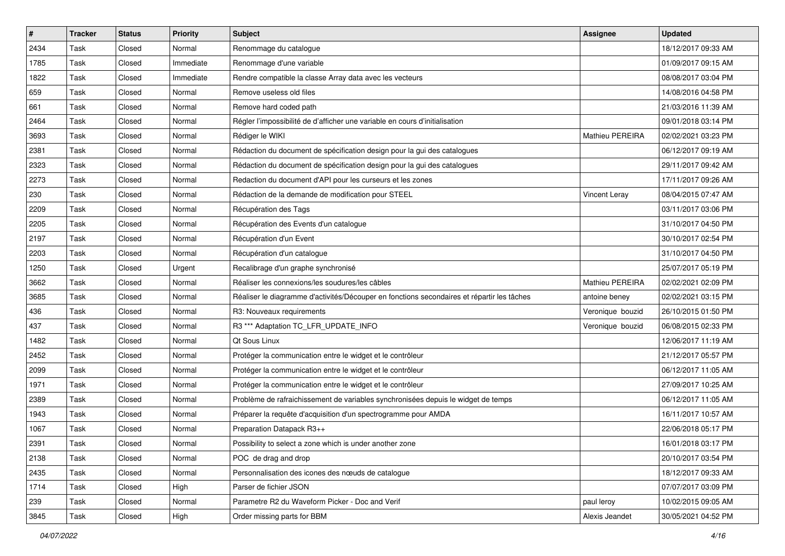| $\vert$ # | <b>Tracker</b> | <b>Status</b> | <b>Priority</b> | <b>Subject</b>                                                                             | <b>Assignee</b>        | <b>Updated</b>      |
|-----------|----------------|---------------|-----------------|--------------------------------------------------------------------------------------------|------------------------|---------------------|
| 2434      | Task           | Closed        | Normal          | Renommage du catalogue                                                                     |                        | 18/12/2017 09:33 AM |
| 1785      | Task           | Closed        | Immediate       | Renommage d'une variable                                                                   |                        | 01/09/2017 09:15 AM |
| 1822      | Task           | Closed        | Immediate       | Rendre compatible la classe Array data avec les vecteurs                                   |                        | 08/08/2017 03:04 PM |
| 659       | Task           | Closed        | Normal          | Remove useless old files                                                                   |                        | 14/08/2016 04:58 PM |
| 661       | Task           | Closed        | Normal          | Remove hard coded path                                                                     |                        | 21/03/2016 11:39 AM |
| 2464      | Task           | Closed        | Normal          | Régler l'impossibilité de d'afficher une variable en cours d'initialisation                |                        | 09/01/2018 03:14 PM |
| 3693      | Task           | Closed        | Normal          | Rédiger le WIKI                                                                            | <b>Mathieu PEREIRA</b> | 02/02/2021 03:23 PM |
| 2381      | Task           | Closed        | Normal          | Rédaction du document de spécification design pour la gui des catalogues                   |                        | 06/12/2017 09:19 AM |
| 2323      | Task           | Closed        | Normal          | Rédaction du document de spécification design pour la gui des catalogues                   |                        | 29/11/2017 09:42 AM |
| 2273      | Task           | Closed        | Normal          | Redaction du document d'API pour les curseurs et les zones                                 |                        | 17/11/2017 09:26 AM |
| 230       | Task           | Closed        | Normal          | Rédaction de la demande de modification pour STEEL                                         | Vincent Leray          | 08/04/2015 07:47 AM |
| 2209      | Task           | Closed        | Normal          | Récupération des Tags                                                                      |                        | 03/11/2017 03:06 PM |
| 2205      | Task           | Closed        | Normal          | Récupération des Events d'un catalogue                                                     |                        | 31/10/2017 04:50 PM |
| 2197      | Task           | Closed        | Normal          | Récupération d'un Event                                                                    |                        | 30/10/2017 02:54 PM |
| 2203      | Task           | Closed        | Normal          | Récupération d'un catalogue                                                                |                        | 31/10/2017 04:50 PM |
| 1250      | Task           | Closed        | Urgent          | Recalibrage d'un graphe synchronisé                                                        |                        | 25/07/2017 05:19 PM |
| 3662      | Task           | Closed        | Normal          | Réaliser les connexions/les soudures/les câbles                                            | Mathieu PEREIRA        | 02/02/2021 02:09 PM |
| 3685      | Task           | Closed        | Normal          | Réaliser le diagramme d'activités/Découper en fonctions secondaires et répartir les tâches | antoine beney          | 02/02/2021 03:15 PM |
| 436       | Task           | Closed        | Normal          | R3: Nouveaux requirements                                                                  | Veronique bouzid       | 26/10/2015 01:50 PM |
| 437       | Task           | Closed        | Normal          | R3 *** Adaptation TC_LFR_UPDATE_INFO                                                       | Veronique bouzid       | 06/08/2015 02:33 PM |
| 1482      | Task           | Closed        | Normal          | <b>Qt Sous Linux</b>                                                                       |                        | 12/06/2017 11:19 AM |
| 2452      | Task           | Closed        | Normal          | Protéger la communication entre le widget et le contrôleur                                 |                        | 21/12/2017 05:57 PM |
| 2099      | Task           | Closed        | Normal          | Protéger la communication entre le widget et le contrôleur                                 |                        | 06/12/2017 11:05 AM |
| 1971      | Task           | Closed        | Normal          | Protéger la communication entre le widget et le contrôleur                                 |                        | 27/09/2017 10:25 AM |
| 2389      | Task           | Closed        | Normal          | Problème de rafraichissement de variables synchronisées depuis le widget de temps          |                        | 06/12/2017 11:05 AM |
| 1943      | Task           | Closed        | Normal          | Préparer la requête d'acquisition d'un spectrogramme pour AMDA                             |                        | 16/11/2017 10:57 AM |
| 1067      | Task           | Closed        | Normal          | Preparation Datapack R3++                                                                  |                        | 22/06/2018 05:17 PM |
| 2391      | Task           | Closed        | Normal          | Possibility to select a zone which is under another zone                                   |                        | 16/01/2018 03:17 PM |
| 2138      | Task           | Closed        | Normal          | POC de drag and drop                                                                       |                        | 20/10/2017 03:54 PM |
| 2435      | Task           | Closed        | Normal          | Personnalisation des icones des nœuds de catalogue                                         |                        | 18/12/2017 09:33 AM |
| 1714      | Task           | Closed        | High            | Parser de fichier JSON                                                                     |                        | 07/07/2017 03:09 PM |
| 239       | Task           | Closed        | Normal          | Parametre R2 du Waveform Picker - Doc and Verif                                            | paul leroy             | 10/02/2015 09:05 AM |
| 3845      | Task           | Closed        | High            | Order missing parts for BBM                                                                | Alexis Jeandet         | 30/05/2021 04:52 PM |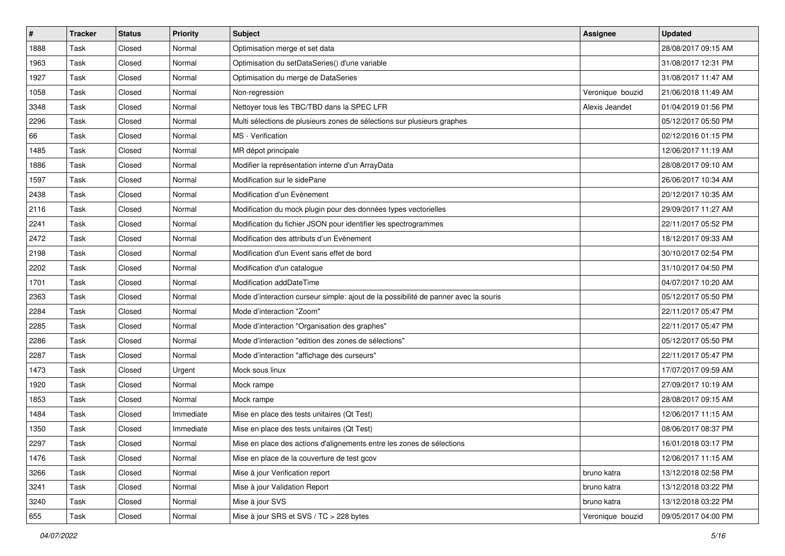| #    | <b>Tracker</b> | <b>Status</b> | <b>Priority</b> | <b>Subject</b>                                                                      | <b>Assignee</b>  | <b>Updated</b>      |
|------|----------------|---------------|-----------------|-------------------------------------------------------------------------------------|------------------|---------------------|
| 1888 | Task           | Closed        | Normal          | Optimisation merge et set data                                                      |                  | 28/08/2017 09:15 AM |
| 1963 | Task           | Closed        | Normal          | Optimisation du setDataSeries() d'une variable                                      |                  | 31/08/2017 12:31 PM |
| 1927 | Task           | Closed        | Normal          | Optimisation du merge de DataSeries                                                 |                  | 31/08/2017 11:47 AM |
| 1058 | Task           | Closed        | Normal          | Non-regression                                                                      | Veronique bouzid | 21/06/2018 11:49 AM |
| 3348 | Task           | Closed        | Normal          | Nettoyer tous les TBC/TBD dans la SPEC LFR                                          | Alexis Jeandet   | 01/04/2019 01:56 PM |
| 2296 | Task           | Closed        | Normal          | Multi sélections de plusieurs zones de sélections sur plusieurs graphes             |                  | 05/12/2017 05:50 PM |
| 66   | Task           | Closed        | Normal          | <b>MS</b> - Verification                                                            |                  | 02/12/2016 01:15 PM |
| 1485 | Task           | Closed        | Normal          | MR dépot principale                                                                 |                  | 12/06/2017 11:19 AM |
| 1886 | Task           | Closed        | Normal          | Modifier la représentation interne d'un ArrayData                                   |                  | 28/08/2017 09:10 AM |
| 1597 | Task           | Closed        | Normal          | Modification sur le sidePane                                                        |                  | 26/06/2017 10:34 AM |
| 2438 | Task           | Closed        | Normal          | Modification d'un Evènement                                                         |                  | 20/12/2017 10:35 AM |
| 2116 | Task           | Closed        | Normal          | Modification du mock plugin pour des données types vectorielles                     |                  | 29/09/2017 11:27 AM |
| 2241 | Task           | Closed        | Normal          | Modification du fichier JSON pour identifier les spectrogrammes                     |                  | 22/11/2017 05:52 PM |
| 2472 | Task           | Closed        | Normal          | Modification des attributs d'un Evènement                                           |                  | 18/12/2017 09:33 AM |
| 2198 | Task           | Closed        | Normal          | Modification d'un Event sans effet de bord                                          |                  | 30/10/2017 02:54 PM |
| 2202 | Task           | Closed        | Normal          | Modification d'un cataloque                                                         |                  | 31/10/2017 04:50 PM |
| 1701 | Task           | Closed        | Normal          | Modification addDateTime                                                            |                  | 04/07/2017 10:20 AM |
| 2363 | Task           | Closed        | Normal          | Mode d'interaction curseur simple: ajout de la possibilité de panner avec la souris |                  | 05/12/2017 05:50 PM |
| 2284 | Task           | Closed        | Normal          | Mode d'interaction "Zoom"                                                           |                  | 22/11/2017 05:47 PM |
| 2285 | Task           | Closed        | Normal          | Mode d'interaction "Organisation des graphes"                                       |                  | 22/11/2017 05:47 PM |
| 2286 | Task           | Closed        | Normal          | Mode d'interaction "edition des zones de sélections"                                |                  | 05/12/2017 05:50 PM |
| 2287 | Task           | Closed        | Normal          | Mode d'interaction "affichage des curseurs"                                         |                  | 22/11/2017 05:47 PM |
| 1473 | Task           | Closed        | Urgent          | Mock sous linux                                                                     |                  | 17/07/2017 09:59 AM |
| 1920 | Task           | Closed        | Normal          | Mock rampe                                                                          |                  | 27/09/2017 10:19 AM |
| 1853 | Task           | Closed        | Normal          | Mock rampe                                                                          |                  | 28/08/2017 09:15 AM |
| 1484 | Task           | Closed        | Immediate       | Mise en place des tests unitaires (Qt Test)                                         |                  | 12/06/2017 11:15 AM |
| 1350 | Task           | Closed        | Immediate       | Mise en place des tests unitaires (Qt Test)                                         |                  | 08/06/2017 08:37 PM |
| 2297 | Task           | Closed        | Normal          | Mise en place des actions d'alignements entre les zones de sélections               |                  | 16/01/2018 03:17 PM |
| 1476 | Task           | Closed        | Normal          | Mise en place de la couverture de test gcov                                         |                  | 12/06/2017 11:15 AM |
| 3266 | Task           | Closed        | Normal          | Mise à jour Verification report                                                     | bruno katra      | 13/12/2018 02:58 PM |
| 3241 | Task           | Closed        | Normal          | Mise à jour Validation Report                                                       | bruno katra      | 13/12/2018 03:22 PM |
| 3240 | Task           | Closed        | Normal          | Mise à jour SVS                                                                     | bruno katra      | 13/12/2018 03:22 PM |
| 655  | Task           | Closed        | Normal          | Mise à jour SRS et SVS / TC > 228 bytes                                             | Veronique bouzid | 09/05/2017 04:00 PM |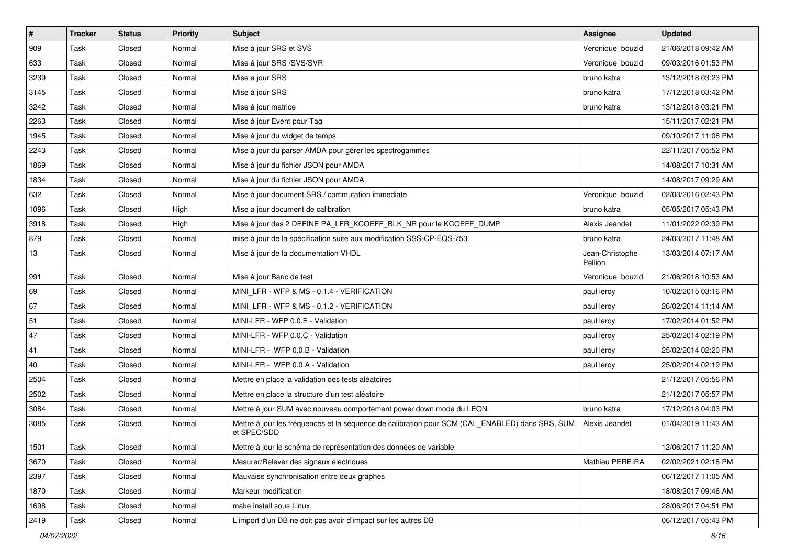| $\pmb{\#}$ | <b>Tracker</b> | <b>Status</b> | <b>Priority</b> | <b>Subject</b>                                                                                                 | Assignee                   | <b>Updated</b>      |
|------------|----------------|---------------|-----------------|----------------------------------------------------------------------------------------------------------------|----------------------------|---------------------|
| 909        | Task           | Closed        | Normal          | Mise à jour SRS et SVS                                                                                         | Veronique bouzid           | 21/06/2018 09:42 AM |
| 633        | Task           | Closed        | Normal          | Mise à jour SRS /SVS/SVR                                                                                       | Veronique bouzid           | 09/03/2016 01:53 PM |
| 3239       | Task           | Closed        | Normal          | Mise a jour SRS                                                                                                | bruno katra                | 13/12/2018 03:23 PM |
| 3145       | Task           | Closed        | Normal          | Mise à jour SRS                                                                                                | bruno katra                | 17/12/2018 03:42 PM |
| 3242       | Task           | Closed        | Normal          | Mise à jour matrice                                                                                            | bruno katra                | 13/12/2018 03:21 PM |
| 2263       | Task           | Closed        | Normal          | Mise à jour Event pour Tag                                                                                     |                            | 15/11/2017 02:21 PM |
| 1945       | Task           | Closed        | Normal          | Mise à jour du widget de temps                                                                                 |                            | 09/10/2017 11:08 PM |
| 2243       | Task           | Closed        | Normal          | Mise à jour du parser AMDA pour gérer les spectrogammes                                                        |                            | 22/11/2017 05:52 PM |
| 1869       | Task           | Closed        | Normal          | Mise à jour du fichier JSON pour AMDA                                                                          |                            | 14/08/2017 10:31 AM |
| 1834       | Task           | Closed        | Normal          | Mise à jour du fichier JSON pour AMDA                                                                          |                            | 14/08/2017 09:29 AM |
| 632        | Task           | Closed        | Normal          | Mise à jour document SRS / commutation immediate                                                               | Veronique bouzid           | 02/03/2016 02:43 PM |
| 1096       | Task           | Closed        | High            | Mise a jour document de calibration                                                                            | bruno katra                | 05/05/2017 05:43 PM |
| 3918       | Task           | Closed        | High            | Mise à jour des 2 DEFINE PA_LFR_KCOEFF_BLK_NR pour le KCOEFF_DUMP                                              | Alexis Jeandet             | 11/01/2022 02:39 PM |
| 879        | Task           | Closed        | Normal          | mise à jour de la spécification suite aux modification SSS-CP-EQS-753                                          | bruno katra                | 24/03/2017 11:48 AM |
| 13         | Task           | Closed        | Normal          | Mise à jour de la documentation VHDL                                                                           | Jean-Christophe<br>Pellion | 13/03/2014 07:17 AM |
| 991        | Task           | Closed        | Normal          | Mise à jour Banc de test                                                                                       | Veronique bouzid           | 21/06/2018 10:53 AM |
| 69         | Task           | Closed        | Normal          | MINI LFR - WFP & MS - 0.1.4 - VERIFICATION                                                                     | paul leroy                 | 10/02/2015 03:16 PM |
| 67         | Task           | Closed        | Normal          | MINI LFR - WFP & MS - 0.1.2 - VERIFICATION                                                                     | paul leroy                 | 26/02/2014 11:14 AM |
| 51         | Task           | Closed        | Normal          | MINI-LFR - WFP 0.0.E - Validation                                                                              | paul leroy                 | 17/02/2014 01:52 PM |
| 47         | Task           | Closed        | Normal          | MINI-LFR - WFP 0.0.C - Validation                                                                              | paul leroy                 | 25/02/2014 02:19 PM |
| 41         | Task           | Closed        | Normal          | MINI-LFR - WFP 0.0.B - Validation                                                                              | paul leroy                 | 25/02/2014 02:20 PM |
| 40         | Task           | Closed        | Normal          | MINI-LFR - WFP 0.0.A - Validation                                                                              | paul leroy                 | 25/02/2014 02:19 PM |
| 2504       | Task           | Closed        | Normal          | Mettre en place la validation des tests aléatoires                                                             |                            | 21/12/2017 05:56 PM |
| 2502       | Task           | Closed        | Normal          | Mettre en place la structure d'un test aléatoire                                                               |                            | 21/12/2017 05:57 PM |
| 3084       | Task           | Closed        | Normal          | Mettre à jour SUM avec nouveau comportement power down mode du LEON                                            | bruno katra                | 17/12/2018 04:03 PM |
| 3085       | Task           | Closed        | Normal          | Mettre à jour les fréquences et la séquence de calibration pour SCM (CAL_ENABLED) dans SRS, SUM<br>et SPEC/SDD | Alexis Jeandet             | 01/04/2019 11:43 AM |
| 1501       | Task           | Closed        | Normal          | Mettre à jour le schéma de représentation des données de variable                                              |                            | 12/06/2017 11:20 AM |
| 3670       | Task           | Closed        | Normal          | Mesurer/Relever des signaux électriques                                                                        | <b>Mathieu PEREIRA</b>     | 02/02/2021 02:18 PM |
| 2397       | Task           | Closed        | Normal          | Mauvaise synchronisation entre deux graphes                                                                    |                            | 06/12/2017 11:05 AM |
| 1870       | Task           | Closed        | Normal          | Markeur modification                                                                                           |                            | 18/08/2017 09:46 AM |
| 1698       | Task           | Closed        | Normal          | make install sous Linux                                                                                        |                            | 28/06/2017 04:51 PM |
| 2419       | Task           | Closed        | Normal          | L'import d'un DB ne doit pas avoir d'impact sur les autres DB                                                  |                            | 06/12/2017 05:43 PM |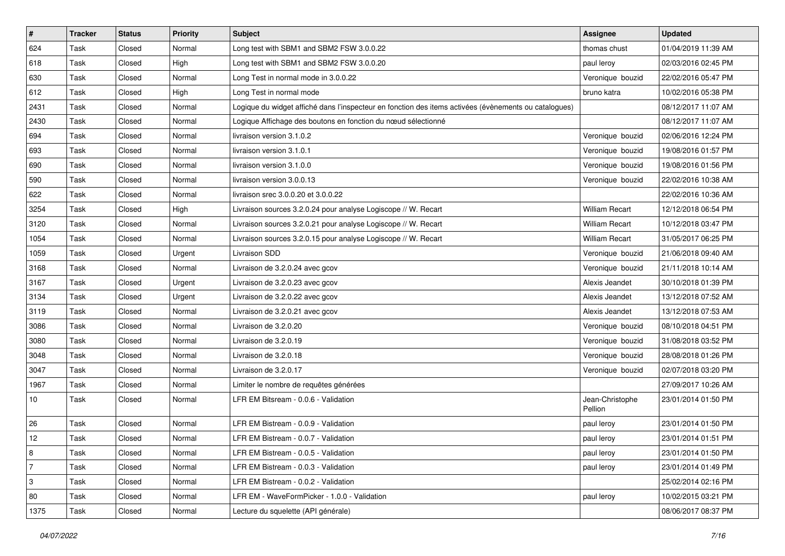| $\vert$ #     | <b>Tracker</b> | <b>Status</b> | <b>Priority</b> | Subject                                                                                               | Assignee                   | <b>Updated</b>      |
|---------------|----------------|---------------|-----------------|-------------------------------------------------------------------------------------------------------|----------------------------|---------------------|
| 624           | Task           | Closed        | Normal          | Long test with SBM1 and SBM2 FSW 3.0.0.22                                                             | thomas chust               | 01/04/2019 11:39 AM |
| 618           | Task           | Closed        | High            | Long test with SBM1 and SBM2 FSW 3.0.0.20                                                             | paul leroy                 | 02/03/2016 02:45 PM |
| 630           | Task           | Closed        | Normal          | Long Test in normal mode in 3.0.0.22                                                                  | Veronique bouzid           | 22/02/2016 05:47 PM |
| $ 612\rangle$ | Task           | Closed        | High            | Long Test in normal mode                                                                              | bruno katra                | 10/02/2016 05:38 PM |
| 2431          | Task           | Closed        | Normal          | Logique du widget affiché dans l'inspecteur en fonction des items activées (évènements ou catalogues) |                            | 08/12/2017 11:07 AM |
| 2430          | Task           | Closed        | Normal          | Logique Affichage des boutons en fonction du nœud sélectionné                                         |                            | 08/12/2017 11:07 AM |
| 694           | Task           | Closed        | Normal          | livraison version 3.1.0.2                                                                             | Veronique bouzid           | 02/06/2016 12:24 PM |
| 693           | Task           | Closed        | Normal          | livraison version 3.1.0.1                                                                             | Veronique bouzid           | 19/08/2016 01:57 PM |
| 690           | Task           | Closed        | Normal          | livraison version 3.1.0.0                                                                             | Veronique bouzid           | 19/08/2016 01:56 PM |
| 590           | Task           | Closed        | Normal          | livraison version 3.0.0.13                                                                            | Veronique bouzid           | 22/02/2016 10:38 AM |
| 622           | Task           | Closed        | Normal          | livraison srec 3.0.0.20 et 3.0.0.22                                                                   |                            | 22/02/2016 10:36 AM |
| 3254          | Task           | Closed        | High            | Livraison sources 3.2.0.24 pour analyse Logiscope // W. Recart                                        | <b>William Recart</b>      | 12/12/2018 06:54 PM |
| 3120          | Task           | Closed        | Normal          | Livraison sources 3.2.0.21 pour analyse Logiscope // W. Recart                                        | <b>William Recart</b>      | 10/12/2018 03:47 PM |
| 1054          | Task           | Closed        | Normal          | Livraison sources 3.2.0.15 pour analyse Logiscope // W. Recart                                        | <b>William Recart</b>      | 31/05/2017 06:25 PM |
| 1059          | Task           | Closed        | Urgent          | Livraison SDD                                                                                         | Veronique bouzid           | 21/06/2018 09:40 AM |
| 3168          | Task           | Closed        | Normal          | Livraison de 3.2.0.24 avec gcov                                                                       | Veronique bouzid           | 21/11/2018 10:14 AM |
| 3167          | Task           | Closed        | Urgent          | Livraison de 3.2.0.23 avec gcov                                                                       | Alexis Jeandet             | 30/10/2018 01:39 PM |
| 3134          | Task           | Closed        | Urgent          | Livraison de 3.2.0.22 avec gcov                                                                       | Alexis Jeandet             | 13/12/2018 07:52 AM |
| 3119          | Task           | Closed        | Normal          | Livraison de 3.2.0.21 avec gcov                                                                       | Alexis Jeandet             | 13/12/2018 07:53 AM |
| 3086          | Task           | Closed        | Normal          | Livraison de 3.2.0.20                                                                                 | Veronique bouzid           | 08/10/2018 04:51 PM |
| 3080          | Task           | Closed        | Normal          | Livraison de 3.2.0.19                                                                                 | Veronique bouzid           | 31/08/2018 03:52 PM |
| 3048          | Task           | Closed        | Normal          | Livraison de 3.2.0.18                                                                                 | Veronique bouzid           | 28/08/2018 01:26 PM |
| 3047          | Task           | Closed        | Normal          | Livraison de 3.2.0.17                                                                                 | Veronique bouzid           | 02/07/2018 03:20 PM |
| 1967          | Task           | Closed        | Normal          | Limiter le nombre de requêtes générées                                                                |                            | 27/09/2017 10:26 AM |
| 10            | Task           | Closed        | Normal          | LFR EM Bitsream - 0.0.6 - Validation                                                                  | Jean-Christophe<br>Pellion | 23/01/2014 01:50 PM |
| 26            | Task           | Closed        | Normal          | LFR EM Bistream - 0.0.9 - Validation                                                                  | paul leroy                 | 23/01/2014 01:50 PM |
| 12            | Task           | Closed        | Normal          | LFR EM Bistream - 0.0.7 - Validation                                                                  | paul leroy                 | 23/01/2014 01:51 PM |
| 8             | Task           | Closed        | Normal          | LFR EM Bistream - 0.0.5 - Validation                                                                  | paul leroy                 | 23/01/2014 01:50 PM |
| 7             | Task           | Closed        | Normal          | LFR EM Bistream - 0.0.3 - Validation                                                                  | paul leroy                 | 23/01/2014 01:49 PM |
| 3             | Task           | Closed        | Normal          | LFR EM Bistream - 0.0.2 - Validation                                                                  |                            | 25/02/2014 02:16 PM |
| 80            | Task           | Closed        | Normal          | LFR EM - WaveFormPicker - 1.0.0 - Validation                                                          | paul leroy                 | 10/02/2015 03:21 PM |
| 1375          | Task           | Closed        | Normal          | Lecture du squelette (API générale)                                                                   |                            | 08/06/2017 08:37 PM |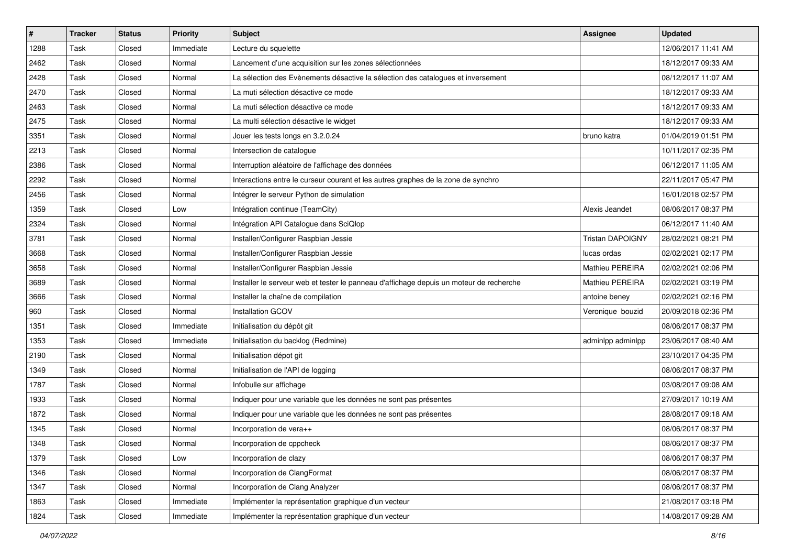| $\sharp$ | <b>Tracker</b> | <b>Status</b> | <b>Priority</b> | <b>Subject</b>                                                                          | <b>Assignee</b>         | <b>Updated</b>      |
|----------|----------------|---------------|-----------------|-----------------------------------------------------------------------------------------|-------------------------|---------------------|
| 1288     | Task           | Closed        | Immediate       | Lecture du squelette                                                                    |                         | 12/06/2017 11:41 AM |
| 2462     | Task           | Closed        | Normal          | Lancement d'une acquisition sur les zones sélectionnées                                 |                         | 18/12/2017 09:33 AM |
| 2428     | Task           | Closed        | Normal          | La sélection des Evènements désactive la sélection des catalogues et inversement        |                         | 08/12/2017 11:07 AM |
| 2470     | Task           | Closed        | Normal          | La muti sélection désactive ce mode                                                     |                         | 18/12/2017 09:33 AM |
| 2463     | Task           | Closed        | Normal          | La muti sélection désactive ce mode                                                     |                         | 18/12/2017 09:33 AM |
| 2475     | Task           | Closed        | Normal          | La multi sélection désactive le widget                                                  |                         | 18/12/2017 09:33 AM |
| 3351     | Task           | Closed        | Normal          | Jouer les tests longs en 3.2.0.24                                                       | bruno katra             | 01/04/2019 01:51 PM |
| 2213     | Task           | Closed        | Normal          | Intersection de catalogue                                                               |                         | 10/11/2017 02:35 PM |
| 2386     | Task           | Closed        | Normal          | Interruption aléatoire de l'affichage des données                                       |                         | 06/12/2017 11:05 AM |
| 2292     | Task           | Closed        | Normal          | Interactions entre le curseur courant et les autres graphes de la zone de synchro       |                         | 22/11/2017 05:47 PM |
| 2456     | Task           | Closed        | Normal          | Intégrer le serveur Python de simulation                                                |                         | 16/01/2018 02:57 PM |
| 1359     | Task           | Closed        | Low             | Intégration continue (TeamCity)                                                         | Alexis Jeandet          | 08/06/2017 08:37 PM |
| 2324     | Task           | Closed        | Normal          | Intégration API Catalogue dans SciQlop                                                  |                         | 06/12/2017 11:40 AM |
| 3781     | Task           | Closed        | Normal          | Installer/Configurer Raspbian Jessie                                                    | <b>Tristan DAPOIGNY</b> | 28/02/2021 08:21 PM |
| 3668     | Task           | Closed        | Normal          | Installer/Configurer Raspbian Jessie                                                    | lucas ordas             | 02/02/2021 02:17 PM |
| 3658     | Task           | Closed        | Normal          | Installer/Configurer Raspbian Jessie                                                    | Mathieu PEREIRA         | 02/02/2021 02:06 PM |
| 3689     | Task           | Closed        | Normal          | Installer le serveur web et tester le panneau d'affichage depuis un moteur de recherche | Mathieu PEREIRA         | 02/02/2021 03:19 PM |
| 3666     | Task           | Closed        | Normal          | Installer la chaîne de compilation                                                      | antoine beney           | 02/02/2021 02:16 PM |
| 960      | Task           | Closed        | Normal          | <b>Installation GCOV</b>                                                                | Veronique bouzid        | 20/09/2018 02:36 PM |
| 1351     | Task           | Closed        | Immediate       | Initialisation du dépôt git                                                             |                         | 08/06/2017 08:37 PM |
| 1353     | Task           | Closed        | Immediate       | Initialisation du backlog (Redmine)                                                     | adminlpp adminlpp       | 23/06/2017 08:40 AM |
| 2190     | Task           | Closed        | Normal          | Initialisation dépot git                                                                |                         | 23/10/2017 04:35 PM |
| 1349     | Task           | Closed        | Normal          | Initialisation de l'API de logging                                                      |                         | 08/06/2017 08:37 PM |
| 1787     | Task           | Closed        | Normal          | Infobulle sur affichage                                                                 |                         | 03/08/2017 09:08 AM |
| 1933     | Task           | Closed        | Normal          | Indiquer pour une variable que les données ne sont pas présentes                        |                         | 27/09/2017 10:19 AM |
| 1872     | Task           | Closed        | Normal          | Indiquer pour une variable que les données ne sont pas présentes                        |                         | 28/08/2017 09:18 AM |
| 1345     | Task           | Closed        | Normal          | Incorporation de vera++                                                                 |                         | 08/06/2017 08:37 PM |
| 1348     | Task           | Closed        | Normal          | Incorporation de cppcheck                                                               |                         | 08/06/2017 08:37 PM |
| 1379     | Task           | Closed        | Low             | Incorporation de clazy                                                                  |                         | 08/06/2017 08:37 PM |
| 1346     | Task           | Closed        | Normal          | Incorporation de ClangFormat                                                            |                         | 08/06/2017 08:37 PM |
| 1347     | Task           | Closed        | Normal          | Incorporation de Clang Analyzer                                                         |                         | 08/06/2017 08:37 PM |
| 1863     | Task           | Closed        | Immediate       | Implémenter la représentation graphique d'un vecteur                                    |                         | 21/08/2017 03:18 PM |
| 1824     | Task           | Closed        | Immediate       | Implémenter la représentation graphique d'un vecteur                                    |                         | 14/08/2017 09:28 AM |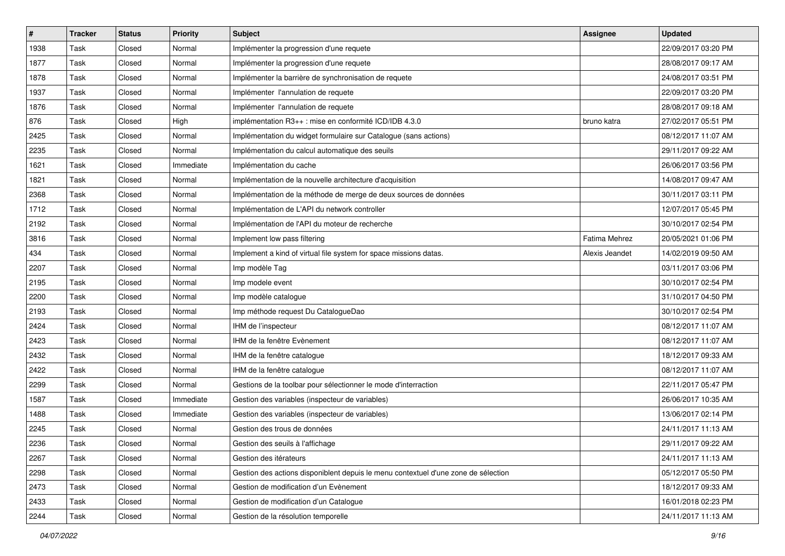| $\sharp$ | <b>Tracker</b> | <b>Status</b> | <b>Priority</b> | <b>Subject</b>                                                                     | <b>Assignee</b> | <b>Updated</b>      |
|----------|----------------|---------------|-----------------|------------------------------------------------------------------------------------|-----------------|---------------------|
| 1938     | Task           | Closed        | Normal          | Implémenter la progression d'une requete                                           |                 | 22/09/2017 03:20 PM |
| 1877     | Task           | Closed        | Normal          | Implémenter la progression d'une requete                                           |                 | 28/08/2017 09:17 AM |
| 1878     | Task           | Closed        | Normal          | Implémenter la barrière de synchronisation de requete                              |                 | 24/08/2017 03:51 PM |
| 1937     | Task           | Closed        | Normal          | Implémenter l'annulation de requete                                                |                 | 22/09/2017 03:20 PM |
| 1876     | Task           | Closed        | Normal          | Implémenter l'annulation de requete                                                |                 | 28/08/2017 09:18 AM |
| 876      | Task           | Closed        | High            | implémentation R3++ : mise en conformité ICD/IDB 4.3.0                             | bruno katra     | 27/02/2017 05:51 PM |
| 2425     | Task           | Closed        | Normal          | Implémentation du widget formulaire sur Catalogue (sans actions)                   |                 | 08/12/2017 11:07 AM |
| 2235     | Task           | Closed        | Normal          | Implémentation du calcul automatique des seuils                                    |                 | 29/11/2017 09:22 AM |
| 1621     | Task           | Closed        | Immediate       | Implémentation du cache                                                            |                 | 26/06/2017 03:56 PM |
| 1821     | Task           | Closed        | Normal          | Implémentation de la nouvelle architecture d'acquisition                           |                 | 14/08/2017 09:47 AM |
| 2368     | Task           | Closed        | Normal          | Implémentation de la méthode de merge de deux sources de données                   |                 | 30/11/2017 03:11 PM |
| 1712     | Task           | Closed        | Normal          | Implémentation de L'API du network controller                                      |                 | 12/07/2017 05:45 PM |
| 2192     | Task           | Closed        | Normal          | Implémentation de l'API du moteur de recherche                                     |                 | 30/10/2017 02:54 PM |
| 3816     | Task           | Closed        | Normal          | Implement low pass filtering                                                       | Fatima Mehrez   | 20/05/2021 01:06 PM |
| 434      | Task           | Closed        | Normal          | Implement a kind of virtual file system for space missions datas.                  | Alexis Jeandet  | 14/02/2019 09:50 AM |
| 2207     | Task           | Closed        | Normal          | Imp modèle Tag                                                                     |                 | 03/11/2017 03:06 PM |
| 2195     | Task           | Closed        | Normal          | Imp modele event                                                                   |                 | 30/10/2017 02:54 PM |
| 2200     | Task           | Closed        | Normal          | Imp modèle catalogue                                                               |                 | 31/10/2017 04:50 PM |
| 2193     | Task           | Closed        | Normal          | Imp méthode request Du CatalogueDao                                                |                 | 30/10/2017 02:54 PM |
| 2424     | Task           | Closed        | Normal          | IHM de l'inspecteur                                                                |                 | 08/12/2017 11:07 AM |
| 2423     | Task           | Closed        | Normal          | IHM de la fenêtre Evènement                                                        |                 | 08/12/2017 11:07 AM |
| 2432     | Task           | Closed        | Normal          | IHM de la fenêtre catalogue                                                        |                 | 18/12/2017 09:33 AM |
| 2422     | Task           | Closed        | Normal          | IHM de la fenêtre catalogue                                                        |                 | 08/12/2017 11:07 AM |
| 2299     | Task           | Closed        | Normal          | Gestions de la toolbar pour sélectionner le mode d'interraction                    |                 | 22/11/2017 05:47 PM |
| 1587     | Task           | Closed        | Immediate       | Gestion des variables (inspecteur de variables)                                    |                 | 26/06/2017 10:35 AM |
| 1488     | Task           | Closed        | Immediate       | Gestion des variables (inspecteur de variables)                                    |                 | 13/06/2017 02:14 PM |
| 2245     | Task           | Closed        | Normal          | Gestion des trous de données                                                       |                 | 24/11/2017 11:13 AM |
| 2236     | Task           | Closed        | Normal          | Gestion des seuils à l'affichage                                                   |                 | 29/11/2017 09:22 AM |
| 2267     | Task           | Closed        | Normal          | Gestion des itérateurs                                                             |                 | 24/11/2017 11:13 AM |
| 2298     | Task           | Closed        | Normal          | Gestion des actions disponiblent depuis le menu contextuel d'une zone de sélection |                 | 05/12/2017 05:50 PM |
| 2473     | Task           | Closed        | Normal          | Gestion de modification d'un Evènement                                             |                 | 18/12/2017 09:33 AM |
| 2433     | Task           | Closed        | Normal          | Gestion de modification d'un Catalogue                                             |                 | 16/01/2018 02:23 PM |
| 2244     | Task           | Closed        | Normal          | Gestion de la résolution temporelle                                                |                 | 24/11/2017 11:13 AM |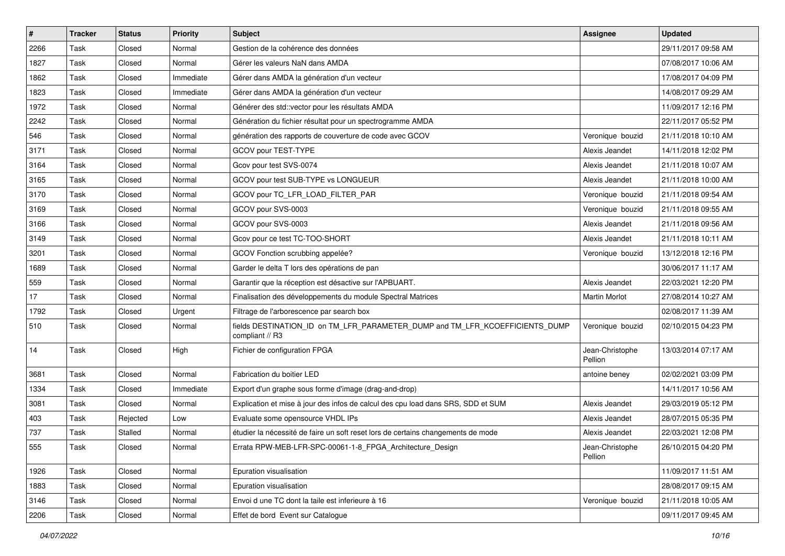| $\vert$ # | <b>Tracker</b> | <b>Status</b> | <b>Priority</b> | <b>Subject</b>                                                                                  | Assignee                   | <b>Updated</b>      |
|-----------|----------------|---------------|-----------------|-------------------------------------------------------------------------------------------------|----------------------------|---------------------|
| 2266      | Task           | Closed        | Normal          | Gestion de la cohérence des données                                                             |                            | 29/11/2017 09:58 AM |
| 1827      | Task           | Closed        | Normal          | Gérer les valeurs NaN dans AMDA                                                                 |                            | 07/08/2017 10:06 AM |
| 1862      | Task           | Closed        | Immediate       | Gérer dans AMDA la génération d'un vecteur                                                      |                            | 17/08/2017 04:09 PM |
| 1823      | Task           | Closed        | Immediate       | Gérer dans AMDA la génération d'un vecteur                                                      |                            | 14/08/2017 09:29 AM |
| 1972      | Task           | Closed        | Normal          | Générer des std::vector pour les résultats AMDA                                                 |                            | 11/09/2017 12:16 PM |
| 2242      | Task           | Closed        | Normal          | Génération du fichier résultat pour un spectrogramme AMDA                                       |                            | 22/11/2017 05:52 PM |
| 546       | Task           | Closed        | Normal          | génération des rapports de couverture de code avec GCOV                                         | Veronique bouzid           | 21/11/2018 10:10 AM |
| 3171      | Task           | Closed        | Normal          | GCOV pour TEST-TYPE                                                                             | Alexis Jeandet             | 14/11/2018 12:02 PM |
| 3164      | Task           | Closed        | Normal          | Gcov pour test SVS-0074                                                                         | Alexis Jeandet             | 21/11/2018 10:07 AM |
| 3165      | Task           | Closed        | Normal          | GCOV pour test SUB-TYPE vs LONGUEUR                                                             | Alexis Jeandet             | 21/11/2018 10:00 AM |
| 3170      | Task           | Closed        | Normal          | GCOV pour TC_LFR_LOAD_FILTER_PAR                                                                | Veronique bouzid           | 21/11/2018 09:54 AM |
| 3169      | Task           | Closed        | Normal          | GCOV pour SVS-0003                                                                              | Veronique bouzid           | 21/11/2018 09:55 AM |
| 3166      | Task           | Closed        | Normal          | GCOV pour SVS-0003                                                                              | Alexis Jeandet             | 21/11/2018 09:56 AM |
| 3149      | Task           | Closed        | Normal          | Gcov pour ce test TC-TOO-SHORT                                                                  | Alexis Jeandet             | 21/11/2018 10:11 AM |
| 3201      | Task           | Closed        | Normal          | GCOV Fonction scrubbing appelée?                                                                | Veronique bouzid           | 13/12/2018 12:16 PM |
| 1689      | Task           | Closed        | Normal          | Garder le delta T lors des opérations de pan                                                    |                            | 30/06/2017 11:17 AM |
| 559       | Task           | Closed        | Normal          | Garantir que la réception est désactive sur l'APBUART.                                          | Alexis Jeandet             | 22/03/2021 12:20 PM |
| 17        | Task           | Closed        | Normal          | Finalisation des développements du module Spectral Matrices                                     | <b>Martin Morlot</b>       | 27/08/2014 10:27 AM |
| 1792      | Task           | Closed        | Urgent          | Filtrage de l'arborescence par search box                                                       |                            | 02/08/2017 11:39 AM |
| 510       | Task           | Closed        | Normal          | fields DESTINATION_ID on TM_LFR_PARAMETER_DUMP and TM_LFR_KCOEFFICIENTS_DUMP<br>compliant // R3 | Veronique bouzid           | 02/10/2015 04:23 PM |
| 14        | Task           | Closed        | High            | Fichier de configuration FPGA                                                                   | Jean-Christophe<br>Pellion | 13/03/2014 07:17 AM |
| 3681      | Task           | Closed        | Normal          | Fabrication du boitier LED                                                                      | antoine beney              | 02/02/2021 03:09 PM |
| 1334      | Task           | Closed        | Immediate       | Export d'un graphe sous forme d'image (drag-and-drop)                                           |                            | 14/11/2017 10:56 AM |
| 3081      | Task           | Closed        | Normal          | Explication et mise à jour des infos de calcul des cpu load dans SRS, SDD et SUM                | Alexis Jeandet             | 29/03/2019 05:12 PM |
| 403       | Task           | Rejected      | Low             | Evaluate some opensource VHDL IPs                                                               | Alexis Jeandet             | 28/07/2015 05:35 PM |
| 737       | Task           | Stalled       | Normal          | étudier la nécessité de faire un soft reset lors de certains changements de mode                | Alexis Jeandet             | 22/03/2021 12:08 PM |
| 555       | Task           | Closed        | Normal          | Errata RPW-MEB-LFR-SPC-00061-1-8_FPGA_Architecture_Design                                       | Jean-Christophe<br>Pellion | 26/10/2015 04:20 PM |
| 1926      | Task           | Closed        | Normal          | Epuration visualisation                                                                         |                            | 11/09/2017 11:51 AM |
| 1883      | Task           | Closed        | Normal          | Epuration visualisation                                                                         |                            | 28/08/2017 09:15 AM |
| 3146      | Task           | Closed        | Normal          | Envoi d une TC dont la taile est inferieure à 16                                                | Veronique bouzid           | 21/11/2018 10:05 AM |
| 2206      | Task           | Closed        | Normal          | Effet de bord Event sur Catalogue                                                               |                            | 09/11/2017 09:45 AM |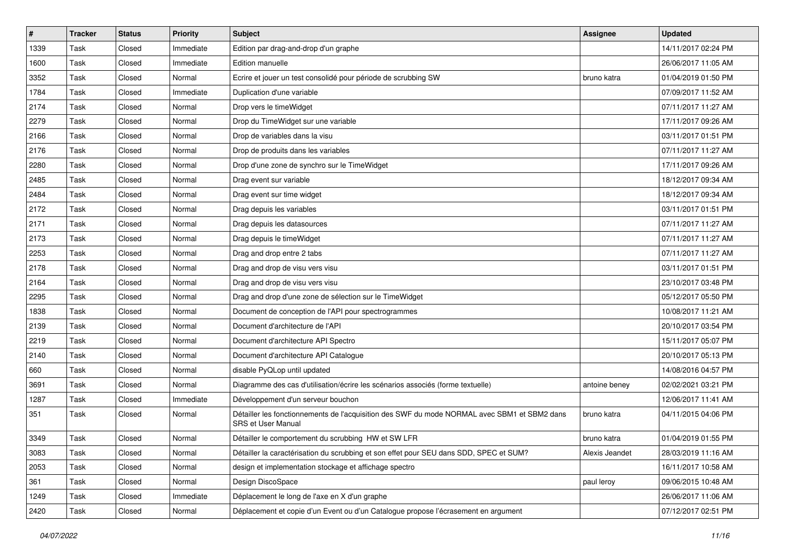| $\sharp$ | <b>Tracker</b> | <b>Status</b> | <b>Priority</b> | <b>Subject</b>                                                                                                            | <b>Assignee</b> | <b>Updated</b>      |
|----------|----------------|---------------|-----------------|---------------------------------------------------------------------------------------------------------------------------|-----------------|---------------------|
| 1339     | Task           | Closed        | Immediate       | Edition par drag-and-drop d'un graphe                                                                                     |                 | 14/11/2017 02:24 PM |
| 1600     | Task           | Closed        | Immediate       | Edition manuelle                                                                                                          |                 | 26/06/2017 11:05 AM |
| 3352     | Task           | Closed        | Normal          | Ecrire et jouer un test consolidé pour période de scrubbing SW                                                            | bruno katra     | 01/04/2019 01:50 PM |
| 1784     | Task           | Closed        | Immediate       | Duplication d'une variable                                                                                                |                 | 07/09/2017 11:52 AM |
| 2174     | Task           | Closed        | Normal          | Drop vers le timeWidget                                                                                                   |                 | 07/11/2017 11:27 AM |
| 2279     | Task           | Closed        | Normal          | Drop du TimeWidget sur une variable                                                                                       |                 | 17/11/2017 09:26 AM |
| 2166     | Task           | Closed        | Normal          | Drop de variables dans la visu                                                                                            |                 | 03/11/2017 01:51 PM |
| 2176     | Task           | Closed        | Normal          | Drop de produits dans les variables                                                                                       |                 | 07/11/2017 11:27 AM |
| 2280     | Task           | Closed        | Normal          | Drop d'une zone de synchro sur le TimeWidget                                                                              |                 | 17/11/2017 09:26 AM |
| 2485     | Task           | Closed        | Normal          | Drag event sur variable                                                                                                   |                 | 18/12/2017 09:34 AM |
| 2484     | Task           | Closed        | Normal          | Drag event sur time widget                                                                                                |                 | 18/12/2017 09:34 AM |
| 2172     | Task           | Closed        | Normal          | Drag depuis les variables                                                                                                 |                 | 03/11/2017 01:51 PM |
| 2171     | Task           | Closed        | Normal          | Drag depuis les datasources                                                                                               |                 | 07/11/2017 11:27 AM |
| 2173     | Task           | Closed        | Normal          | Drag depuis le timeWidget                                                                                                 |                 | 07/11/2017 11:27 AM |
| 2253     | Task           | Closed        | Normal          | Drag and drop entre 2 tabs                                                                                                |                 | 07/11/2017 11:27 AM |
| 2178     | Task           | Closed        | Normal          | Drag and drop de visu vers visu                                                                                           |                 | 03/11/2017 01:51 PM |
| 2164     | Task           | Closed        | Normal          | Drag and drop de visu vers visu                                                                                           |                 | 23/10/2017 03:48 PM |
| 2295     | Task           | Closed        | Normal          | Drag and drop d'une zone de sélection sur le TimeWidget                                                                   |                 | 05/12/2017 05:50 PM |
| 1838     | Task           | Closed        | Normal          | Document de conception de l'API pour spectrogrammes                                                                       |                 | 10/08/2017 11:21 AM |
| 2139     | Task           | Closed        | Normal          | Document d'architecture de l'API                                                                                          |                 | 20/10/2017 03:54 PM |
| 2219     | Task           | Closed        | Normal          | Document d'architecture API Spectro                                                                                       |                 | 15/11/2017 05:07 PM |
| 2140     | Task           | Closed        | Normal          | Document d'architecture API Catalogue                                                                                     |                 | 20/10/2017 05:13 PM |
| 660      | Task           | Closed        | Normal          | disable PyQLop until updated                                                                                              |                 | 14/08/2016 04:57 PM |
| 3691     | Task           | Closed        | Normal          | Diagramme des cas d'utilisation/écrire les scénarios associés (forme textuelle)                                           | antoine beney   | 02/02/2021 03:21 PM |
| 1287     | Task           | Closed        | Immediate       | Développement d'un serveur bouchon                                                                                        |                 | 12/06/2017 11:41 AM |
| 351      | Task           | Closed        | Normal          | Détailler les fonctionnements de l'acquisition des SWF du mode NORMAL avec SBM1 et SBM2 dans<br><b>SRS et User Manual</b> | bruno katra     | 04/11/2015 04:06 PM |
| 3349     | Task           | Closed        | Normal          | Détailler le comportement du scrubbing HW et SW LFR                                                                       | bruno katra     | 01/04/2019 01:55 PM |
| 3083     | Task           | Closed        | Normal          | Détailler la caractérisation du scrubbing et son effet pour SEU dans SDD, SPEC et SUM?                                    | Alexis Jeandet  | 28/03/2019 11:16 AM |
| 2053     | Task           | Closed        | Normal          | design et implementation stockage et affichage spectro                                                                    |                 | 16/11/2017 10:58 AM |
| 361      | Task           | Closed        | Normal          | Design DiscoSpace                                                                                                         | paul leroy      | 09/06/2015 10:48 AM |
| 1249     | Task           | Closed        | Immediate       | Déplacement le long de l'axe en X d'un graphe                                                                             |                 | 26/06/2017 11:06 AM |
| 2420     | Task           | Closed        | Normal          | Déplacement et copie d'un Event ou d'un Catalogue propose l'écrasement en argument                                        |                 | 07/12/2017 02:51 PM |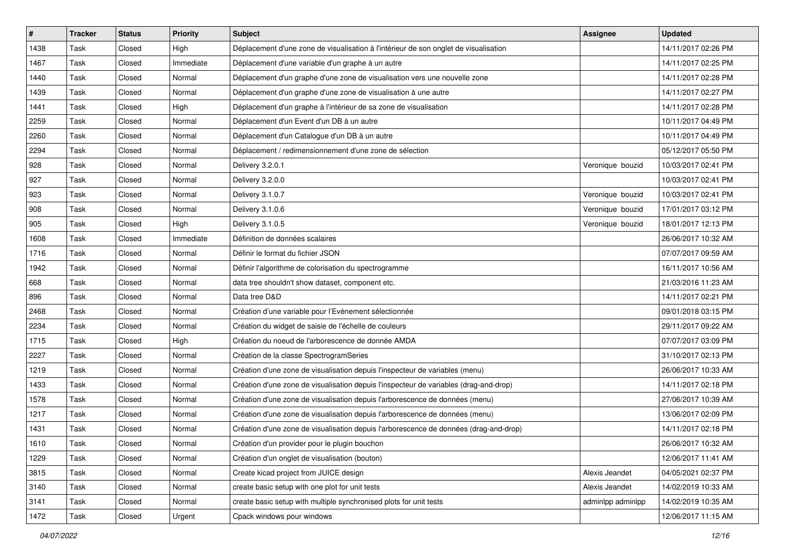| $\vert$ # | <b>Tracker</b> | <b>Status</b> | <b>Priority</b> | Subject                                                                               | <b>Assignee</b>   | <b>Updated</b>      |
|-----------|----------------|---------------|-----------------|---------------------------------------------------------------------------------------|-------------------|---------------------|
| 1438      | Task           | Closed        | High            | Déplacement d'une zone de visualisation à l'intérieur de son onglet de visualisation  |                   | 14/11/2017 02:26 PM |
| 1467      | Task           | Closed        | Immediate       | Déplacement d'une variable d'un graphe à un autre                                     |                   | 14/11/2017 02:25 PM |
| 1440      | Task           | Closed        | Normal          | Déplacement d'un graphe d'une zone de visualisation vers une nouvelle zone            |                   | 14/11/2017 02:28 PM |
| 1439      | Task           | Closed        | Normal          | Déplacement d'un graphe d'une zone de visualisation à une autre                       |                   | 14/11/2017 02:27 PM |
| 1441      | Task           | Closed        | High            | Déplacement d'un graphe à l'intérieur de sa zone de visualisation                     |                   | 14/11/2017 02:28 PM |
| 2259      | Task           | Closed        | Normal          | Déplacement d'un Event d'un DB à un autre                                             |                   | 10/11/2017 04:49 PM |
| 2260      | Task           | Closed        | Normal          | Déplacement d'un Catalogue d'un DB à un autre                                         |                   | 10/11/2017 04:49 PM |
| 2294      | Task           | Closed        | Normal          | Déplacement / redimensionnement d'une zone de sélection                               |                   | 05/12/2017 05:50 PM |
| 928       | Task           | Closed        | Normal          | Delivery 3.2.0.1                                                                      | Veronique bouzid  | 10/03/2017 02:41 PM |
| 927       | Task           | Closed        | Normal          | Delivery 3.2.0.0                                                                      |                   | 10/03/2017 02:41 PM |
| 923       | Task           | Closed        | Normal          | Delivery 3.1.0.7                                                                      | Veronique bouzid  | 10/03/2017 02:41 PM |
| 908       | Task           | Closed        | Normal          | Delivery 3.1.0.6                                                                      | Veronique bouzid  | 17/01/2017 03:12 PM |
| 905       | Task           | Closed        | High            | Delivery 3.1.0.5                                                                      | Veronique bouzid  | 18/01/2017 12:13 PM |
| 1608      | Task           | Closed        | Immediate       | Définition de données scalaires                                                       |                   | 26/06/2017 10:32 AM |
| 1716      | Task           | Closed        | Normal          | Définir le format du fichier JSON                                                     |                   | 07/07/2017 09:59 AM |
| 1942      | Task           | Closed        | Normal          | Définir l'algorithme de colorisation du spectrogramme                                 |                   | 16/11/2017 10:56 AM |
| 668       | Task           | Closed        | Normal          | data tree shouldn't show dataset, component etc.                                      |                   | 21/03/2016 11:23 AM |
| 896       | Task           | Closed        | Normal          | Data tree D&D                                                                         |                   | 14/11/2017 02:21 PM |
| 2468      | Task           | Closed        | Normal          | Création d'une variable pour l'Evènement sélectionnée                                 |                   | 09/01/2018 03:15 PM |
| 2234      | Task           | Closed        | Normal          | Création du widget de saisie de l'échelle de couleurs                                 |                   | 29/11/2017 09:22 AM |
| 1715      | Task           | Closed        | High            | Création du noeud de l'arborescence de donnée AMDA                                    |                   | 07/07/2017 03:09 PM |
| 2227      | Task           | Closed        | Normal          | Création de la classe SpectrogramSeries                                               |                   | 31/10/2017 02:13 PM |
| 1219      | Task           | Closed        | Normal          | Création d'une zone de visualisation depuis l'inspecteur de variables (menu)          |                   | 26/06/2017 10:33 AM |
| 1433      | Task           | Closed        | Normal          | Création d'une zone de visualisation depuis l'inspecteur de variables (drag-and-drop) |                   | 14/11/2017 02:18 PM |
| 1578      | Task           | Closed        | Normal          | Création d'une zone de visualisation depuis l'arborescence de données (menu)          |                   | 27/06/2017 10:39 AM |
| 1217      | Task           | Closed        | Normal          | Création d'une zone de visualisation depuis l'arborescence de données (menu)          |                   | 13/06/2017 02:09 PM |
| 1431      | Task           | Closed        | Normal          | Création d'une zone de visualisation depuis l'arborescence de données (drag-and-drop) |                   | 14/11/2017 02:18 PM |
| 1610      | Task           | Closed        | Normal          | Création d'un provider pour le plugin bouchon                                         |                   | 26/06/2017 10:32 AM |
| 1229      | Task           | Closed        | Normal          | Création d'un onglet de visualisation (bouton)                                        |                   | 12/06/2017 11:41 AM |
| 3815      | Task           | Closed        | Normal          | Create kicad project from JUICE design                                                | Alexis Jeandet    | 04/05/2021 02:37 PM |
| 3140      | Task           | Closed        | Normal          | create basic setup with one plot for unit tests                                       | Alexis Jeandet    | 14/02/2019 10:33 AM |
| 3141      | Task           | Closed        | Normal          | create basic setup with multiple synchronised plots for unit tests                    | adminlpp adminlpp | 14/02/2019 10:35 AM |
| 1472      | Task           | Closed        | Urgent          | Cpack windows pour windows                                                            |                   | 12/06/2017 11:15 AM |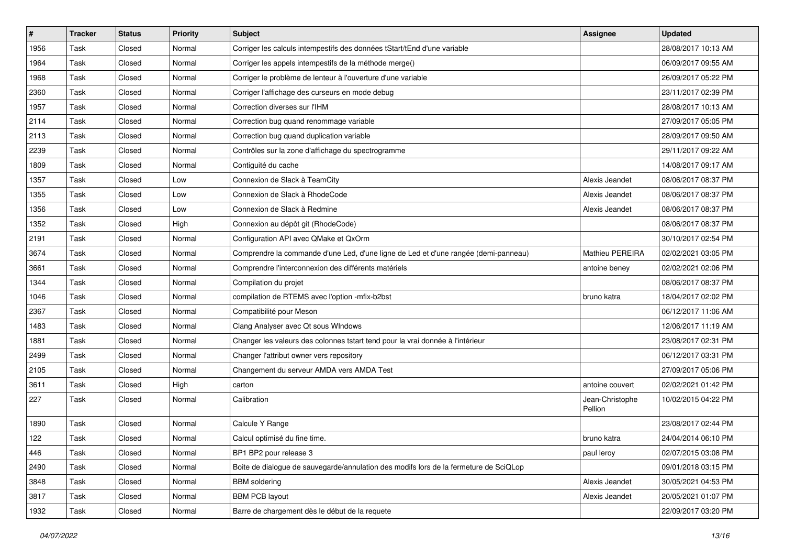| $\vert$ # | <b>Tracker</b> | <b>Status</b> | <b>Priority</b> | Subject                                                                               | <b>Assignee</b>            | <b>Updated</b>      |
|-----------|----------------|---------------|-----------------|---------------------------------------------------------------------------------------|----------------------------|---------------------|
| 1956      | Task           | Closed        | Normal          | Corriger les calculs intempestifs des données tStart/tEnd d'une variable              |                            | 28/08/2017 10:13 AM |
| 1964      | Task           | Closed        | Normal          | Corriger les appels intempestifs de la méthode merge()                                |                            | 06/09/2017 09:55 AM |
| 1968      | Task           | Closed        | Normal          | Corriger le problème de lenteur à l'ouverture d'une variable                          |                            | 26/09/2017 05:22 PM |
| 2360      | Task           | Closed        | Normal          | Corriger l'affichage des curseurs en mode debug                                       |                            | 23/11/2017 02:39 PM |
| 1957      | Task           | Closed        | Normal          | Correction diverses sur l'IHM                                                         |                            | 28/08/2017 10:13 AM |
| 2114      | Task           | Closed        | Normal          | Correction bug quand renommage variable                                               |                            | 27/09/2017 05:05 PM |
| 2113      | Task           | Closed        | Normal          | Correction bug quand duplication variable                                             |                            | 28/09/2017 09:50 AM |
| 2239      | Task           | Closed        | Normal          | Contrôles sur la zone d'affichage du spectrogramme                                    |                            | 29/11/2017 09:22 AM |
| 1809      | Task           | Closed        | Normal          | Contiguité du cache                                                                   |                            | 14/08/2017 09:17 AM |
| 1357      | Task           | Closed        | Low             | Connexion de Slack à TeamCity                                                         | Alexis Jeandet             | 08/06/2017 08:37 PM |
| 1355      | Task           | Closed        | Low             | Connexion de Slack à RhodeCode                                                        | Alexis Jeandet             | 08/06/2017 08:37 PM |
| 1356      | Task           | Closed        | Low             | Connexion de Slack à Redmine                                                          | Alexis Jeandet             | 08/06/2017 08:37 PM |
| 1352      | Task           | Closed        | High            | Connexion au dépôt git (RhodeCode)                                                    |                            | 08/06/2017 08:37 PM |
| 2191      | Task           | Closed        | Normal          | Configuration API avec QMake et QxOrm                                                 |                            | 30/10/2017 02:54 PM |
| 3674      | Task           | Closed        | Normal          | Comprendre la commande d'une Led, d'une ligne de Led et d'une rangée (demi-panneau)   | Mathieu PEREIRA            | 02/02/2021 03:05 PM |
| 3661      | Task           | Closed        | Normal          | Comprendre l'interconnexion des différents matériels                                  | antoine beney              | 02/02/2021 02:06 PM |
| 1344      | Task           | Closed        | Normal          | Compilation du projet                                                                 |                            | 08/06/2017 08:37 PM |
| 1046      | Task           | Closed        | Normal          | compilation de RTEMS avec l'option -mfix-b2bst                                        | bruno katra                | 18/04/2017 02:02 PM |
| 2367      | Task           | Closed        | Normal          | Compatibilité pour Meson                                                              |                            | 06/12/2017 11:06 AM |
| 1483      | Task           | Closed        | Normal          | Clang Analyser avec Qt sous WIndows                                                   |                            | 12/06/2017 11:19 AM |
| 1881      | Task           | Closed        | Normal          | Changer les valeurs des colonnes tstart tend pour la vrai donnée à l'intérieur        |                            | 23/08/2017 02:31 PM |
| 2499      | Task           | Closed        | Normal          | Changer l'attribut owner vers repository                                              |                            | 06/12/2017 03:31 PM |
| 2105      | Task           | Closed        | Normal          | Changement du serveur AMDA vers AMDA Test                                             |                            | 27/09/2017 05:06 PM |
| 3611      | Task           | Closed        | High            | carton                                                                                | antoine couvert            | 02/02/2021 01:42 PM |
| 227       | Task           | Closed        | Normal          | Calibration                                                                           | Jean-Christophe<br>Pellion | 10/02/2015 04:22 PM |
| 1890      | Task           | Closed        | Normal          | Calcule Y Range                                                                       |                            | 23/08/2017 02:44 PM |
| 122       | Task           | Closed        | Normal          | Calcul optimisé du fine time.                                                         | bruno katra                | 24/04/2014 06:10 PM |
| 446       | Task           | Closed        | Normal          | BP1 BP2 pour release 3                                                                | paul leroy                 | 02/07/2015 03:08 PM |
| 2490      | Task           | Closed        | Normal          | Boite de dialogue de sauvegarde/annulation des modifs lors de la fermeture de SciQLop |                            | 09/01/2018 03:15 PM |
| 3848      | Task           | Closed        | Normal          | <b>BBM</b> soldering                                                                  | Alexis Jeandet             | 30/05/2021 04:53 PM |
| 3817      | Task           | Closed        | Normal          | <b>BBM PCB layout</b>                                                                 | Alexis Jeandet             | 20/05/2021 01:07 PM |
| 1932      | Task           | Closed        | Normal          | Barre de chargement dès le début de la requete                                        |                            | 22/09/2017 03:20 PM |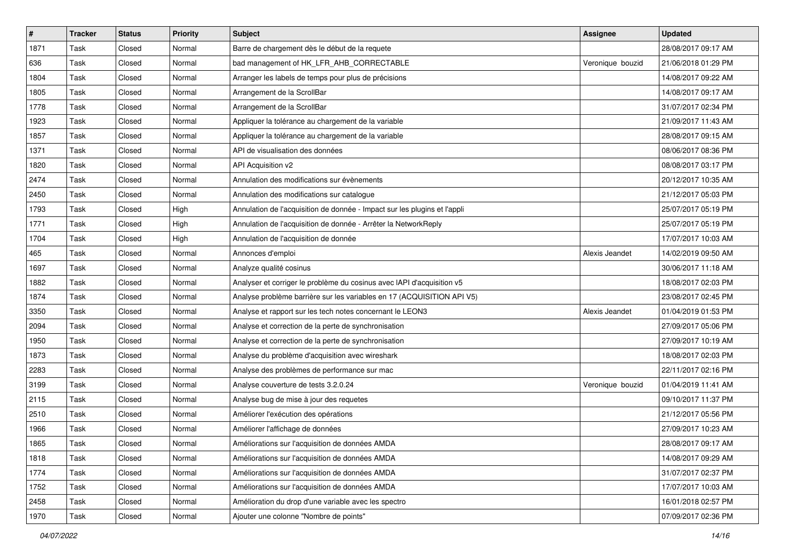| $\sharp$ | <b>Tracker</b> | <b>Status</b> | <b>Priority</b> | <b>Subject</b>                                                            | <b>Assignee</b>  | <b>Updated</b>      |
|----------|----------------|---------------|-----------------|---------------------------------------------------------------------------|------------------|---------------------|
| 1871     | Task           | Closed        | Normal          | Barre de chargement dès le début de la requete                            |                  | 28/08/2017 09:17 AM |
| 636      | Task           | Closed        | Normal          | bad management of HK_LFR_AHB_CORRECTABLE                                  | Veronique bouzid | 21/06/2018 01:29 PM |
| 1804     | Task           | Closed        | Normal          | Arranger les labels de temps pour plus de précisions                      |                  | 14/08/2017 09:22 AM |
| 1805     | Task           | Closed        | Normal          | Arrangement de la ScrollBar                                               |                  | 14/08/2017 09:17 AM |
| 1778     | Task           | Closed        | Normal          | Arrangement de la ScrollBar                                               |                  | 31/07/2017 02:34 PM |
| 1923     | Task           | Closed        | Normal          | Appliquer la tolérance au chargement de la variable                       |                  | 21/09/2017 11:43 AM |
| 1857     | Task           | Closed        | Normal          | Appliquer la tolérance au chargement de la variable                       |                  | 28/08/2017 09:15 AM |
| 1371     | Task           | Closed        | Normal          | API de visualisation des données                                          |                  | 08/06/2017 08:36 PM |
| 1820     | Task           | Closed        | Normal          | API Acquisition v2                                                        |                  | 08/08/2017 03:17 PM |
| 2474     | Task           | Closed        | Normal          | Annulation des modifications sur évènements                               |                  | 20/12/2017 10:35 AM |
| 2450     | Task           | Closed        | Normal          | Annulation des modifications sur catalogue                                |                  | 21/12/2017 05:03 PM |
| 1793     | Task           | Closed        | High            | Annulation de l'acquisition de donnée - Impact sur les plugins et l'appli |                  | 25/07/2017 05:19 PM |
| 1771     | Task           | Closed        | High            | Annulation de l'acquisition de donnée - Arrêter la NetworkReply           |                  | 25/07/2017 05:19 PM |
| 1704     | Task           | Closed        | High            | Annulation de l'acquisition de donnée                                     |                  | 17/07/2017 10:03 AM |
| 465      | Task           | Closed        | Normal          | Annonces d'emploi                                                         | Alexis Jeandet   | 14/02/2019 09:50 AM |
| 1697     | Task           | Closed        | Normal          | Analyze qualité cosinus                                                   |                  | 30/06/2017 11:18 AM |
| 1882     | Task           | Closed        | Normal          | Analyser et corriger le problème du cosinus avec IAPI d'acquisition v5    |                  | 18/08/2017 02:03 PM |
| 1874     | Task           | Closed        | Normal          | Analyse problème barrière sur les variables en 17 (ACQUISITION API V5)    |                  | 23/08/2017 02:45 PM |
| 3350     | Task           | Closed        | Normal          | Analyse et rapport sur les tech notes concernant le LEON3                 | Alexis Jeandet   | 01/04/2019 01:53 PM |
| 2094     | Task           | Closed        | Normal          | Analyse et correction de la perte de synchronisation                      |                  | 27/09/2017 05:06 PM |
| 1950     | Task           | Closed        | Normal          | Analyse et correction de la perte de synchronisation                      |                  | 27/09/2017 10:19 AM |
| 1873     | Task           | Closed        | Normal          | Analyse du problème d'acquisition avec wireshark                          |                  | 18/08/2017 02:03 PM |
| 2283     | Task           | Closed        | Normal          | Analyse des problèmes de performance sur mac                              |                  | 22/11/2017 02:16 PM |
| 3199     | Task           | Closed        | Normal          | Analyse couverture de tests 3.2.0.24                                      | Veronique bouzid | 01/04/2019 11:41 AM |
| 2115     | Task           | Closed        | Normal          | Analyse bug de mise à jour des requetes                                   |                  | 09/10/2017 11:37 PM |
| 2510     | Task           | Closed        | Normal          | Améliorer l'exécution des opérations                                      |                  | 21/12/2017 05:56 PM |
| 1966     | Task           | Closed        | Normal          | Améliorer l'affichage de données                                          |                  | 27/09/2017 10:23 AM |
| 1865     | Task           | Closed        | Normal          | Améliorations sur l'acquisition de données AMDA                           |                  | 28/08/2017 09:17 AM |
| 1818     | Task           | Closed        | Normal          | Améliorations sur l'acquisition de données AMDA                           |                  | 14/08/2017 09:29 AM |
| 1774     | Task           | Closed        | Normal          | Améliorations sur l'acquisition de données AMDA                           |                  | 31/07/2017 02:37 PM |
| 1752     | Task           | Closed        | Normal          | Améliorations sur l'acquisition de données AMDA                           |                  | 17/07/2017 10:03 AM |
| 2458     | Task           | Closed        | Normal          | Amélioration du drop d'une variable avec les spectro                      |                  | 16/01/2018 02:57 PM |
| 1970     | Task           | Closed        | Normal          | Ajouter une colonne "Nombre de points"                                    |                  | 07/09/2017 02:36 PM |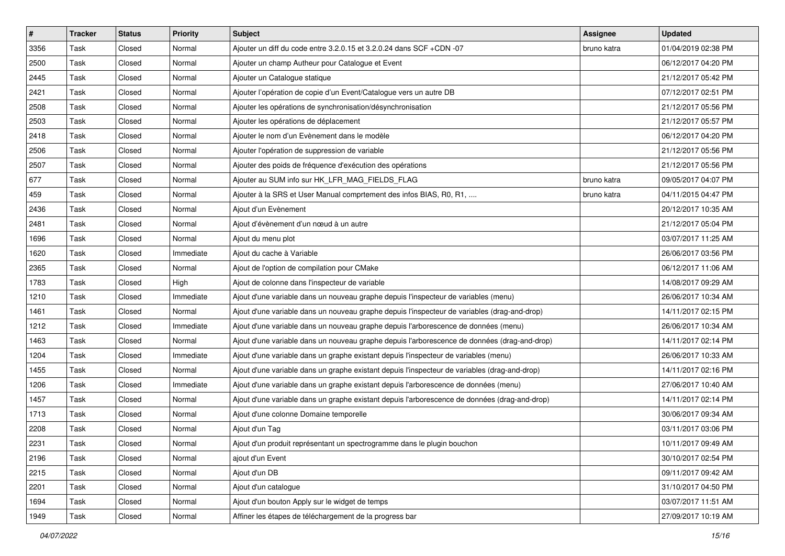| $\vert$ # | <b>Tracker</b> | <b>Status</b> | <b>Priority</b> | Subject                                                                                       | <b>Assignee</b> | <b>Updated</b>      |
|-----------|----------------|---------------|-----------------|-----------------------------------------------------------------------------------------------|-----------------|---------------------|
| 3356      | Task           | Closed        | Normal          | Ajouter un diff du code entre 3.2.0.15 et 3.2.0.24 dans SCF +CDN -07                          | bruno katra     | 01/04/2019 02:38 PM |
| 2500      | Task           | Closed        | Normal          | Ajouter un champ Autheur pour Catalogue et Event                                              |                 | 06/12/2017 04:20 PM |
| 2445      | Task           | Closed        | Normal          | Ajouter un Catalogue statique                                                                 |                 | 21/12/2017 05:42 PM |
| 2421      | Task           | Closed        | Normal          | Ajouter l'opération de copie d'un Event/Catalogue vers un autre DB                            |                 | 07/12/2017 02:51 PM |
| 2508      | Task           | Closed        | Normal          | Ajouter les opérations de synchronisation/désynchronisation                                   |                 | 21/12/2017 05:56 PM |
| 2503      | Task           | Closed        | Normal          | Ajouter les opérations de déplacement                                                         |                 | 21/12/2017 05:57 PM |
| 2418      | Task           | Closed        | Normal          | Ajouter le nom d'un Evènement dans le modèle                                                  |                 | 06/12/2017 04:20 PM |
| 2506      | Task           | Closed        | Normal          | Ajouter l'opération de suppression de variable                                                |                 | 21/12/2017 05:56 PM |
| 2507      | Task           | Closed        | Normal          | Ajouter des poids de fréquence d'exécution des opérations                                     |                 | 21/12/2017 05:56 PM |
| 677       | Task           | Closed        | Normal          | Ajouter au SUM info sur HK_LFR_MAG_FIELDS_FLAG                                                | bruno katra     | 09/05/2017 04:07 PM |
| 459       | Task           | Closed        | Normal          | Ajouter à la SRS et User Manual comprtement des infos BIAS, R0, R1,                           | bruno katra     | 04/11/2015 04:47 PM |
| 2436      | Task           | Closed        | Normal          | Ajout d'un Evènement                                                                          |                 | 20/12/2017 10:35 AM |
| 2481      | Task           | Closed        | Normal          | Ajout d'évènement d'un nœud à un autre                                                        |                 | 21/12/2017 05:04 PM |
| 1696      | Task           | Closed        | Normal          | Ajout du menu plot                                                                            |                 | 03/07/2017 11:25 AM |
| 1620      | Task           | Closed        | Immediate       | Ajout du cache à Variable                                                                     |                 | 26/06/2017 03:56 PM |
| 2365      | Task           | Closed        | Normal          | Ajout de l'option de compilation pour CMake                                                   |                 | 06/12/2017 11:06 AM |
| 1783      | Task           | Closed        | High            | Ajout de colonne dans l'inspecteur de variable                                                |                 | 14/08/2017 09:29 AM |
| 1210      | Task           | Closed        | Immediate       | Ajout d'une variable dans un nouveau graphe depuis l'inspecteur de variables (menu)           |                 | 26/06/2017 10:34 AM |
| 1461      | Task           | Closed        | Normal          | Ajout d'une variable dans un nouveau graphe depuis l'inspecteur de variables (drag-and-drop)  |                 | 14/11/2017 02:15 PM |
| 1212      | Task           | Closed        | Immediate       | Ajout d'une variable dans un nouveau graphe depuis l'arborescence de données (menu)           |                 | 26/06/2017 10:34 AM |
| 1463      | Task           | Closed        | Normal          | Ajout d'une variable dans un nouveau graphe depuis l'arborescence de données (drag-and-drop)  |                 | 14/11/2017 02:14 PM |
| 1204      | Task           | Closed        | Immediate       | Ajout d'une variable dans un graphe existant depuis l'inspecteur de variables (menu)          |                 | 26/06/2017 10:33 AM |
| 1455      | Task           | Closed        | Normal          | Ajout d'une variable dans un graphe existant depuis l'inspecteur de variables (drag-and-drop) |                 | 14/11/2017 02:16 PM |
| 1206      | Task           | Closed        | Immediate       | Ajout d'une variable dans un graphe existant depuis l'arborescence de données (menu)          |                 | 27/06/2017 10:40 AM |
| 1457      | Task           | Closed        | Normal          | Ajout d'une variable dans un graphe existant depuis l'arborescence de données (drag-and-drop) |                 | 14/11/2017 02:14 PM |
| 1713      | Task           | Closed        | Normal          | Ajout d'une colonne Domaine temporelle                                                        |                 | 30/06/2017 09:34 AM |
| 2208      | Task           | Closed        | Normal          | Ajout d'un Tag                                                                                |                 | 03/11/2017 03:06 PM |
| 2231      | Task           | Closed        | Normal          | Ajout d'un produit représentant un spectrogramme dans le plugin bouchon                       |                 | 10/11/2017 09:49 AM |
| 2196      | Task           | Closed        | Normal          | ajout d'un Event                                                                              |                 | 30/10/2017 02:54 PM |
| 2215      | Task           | Closed        | Normal          | Ajout d'un DB                                                                                 |                 | 09/11/2017 09:42 AM |
| 2201      | Task           | Closed        | Normal          | Ajout d'un catalogue                                                                          |                 | 31/10/2017 04:50 PM |
| 1694      | Task           | Closed        | Normal          | Ajout d'un bouton Apply sur le widget de temps                                                |                 | 03/07/2017 11:51 AM |
| 1949      | Task           | Closed        | Normal          | Affiner les étapes de téléchargement de la progress bar                                       |                 | 27/09/2017 10:19 AM |